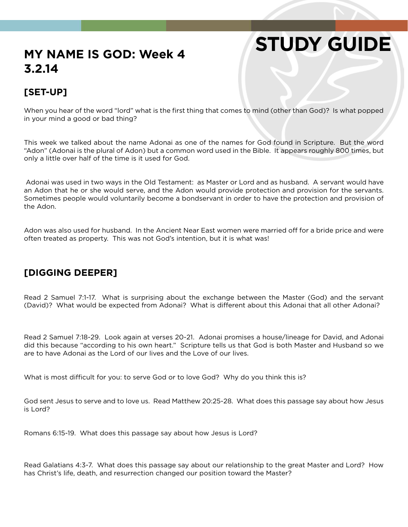# **STUDY GUIDE**

## **MY NAME IS GOD: Week 4 3.2.14**

### **[SET-UP]**

When you hear of the word "lord" what is the first thing that comes to mind (other than God)? Is what popped in your mind a good or bad thing?

This week we talked about the name Adonai as one of the names for God found in Scripture. But the word "Adon" (Adonai is the plural of Adon) but a common word used in the Bible. It appears roughly 800 times, but only a little over half of the time is it used for God.

 Adonai was used in two ways in the Old Testament: as Master or Lord and as husband. A servant would have an Adon that he or she would serve, and the Adon would provide protection and provision for the servants. Sometimes people would voluntarily become a bondservant in order to have the protection and provision of the Adon.

Adon was also used for husband. In the Ancient Near East women were married off for a bride price and were often treated as property. This was not God's intention, but it is what was!

#### **[DIGGING DEEPER]**

Read 2 Samuel 7:1-17. What is surprising about the exchange between the Master (God) and the servant (David)? What would be expected from Adonai? What is different about this Adonai that all other Adonai?

Read 2 Samuel 7:18-29. Look again at verses 20-21. Adonai promises a house/lineage for David, and Adonai did this because "according to his own heart." Scripture tells us that God is both Master and Husband so we are to have Adonai as the Lord of our lives and the Love of our lives.

What is most difficult for you: to serve God or to love God? Why do you think this is?

God sent Jesus to serve and to love us. Read Matthew 20:25-28. What does this passage say about how Jesus is Lord?

Romans 6:15-19. What does this passage say about how Jesus is Lord?

Read Galatians 4:3-7. What does this passage say about our relationship to the great Master and Lord? How has Christ's life, death, and resurrection changed our position toward the Master?